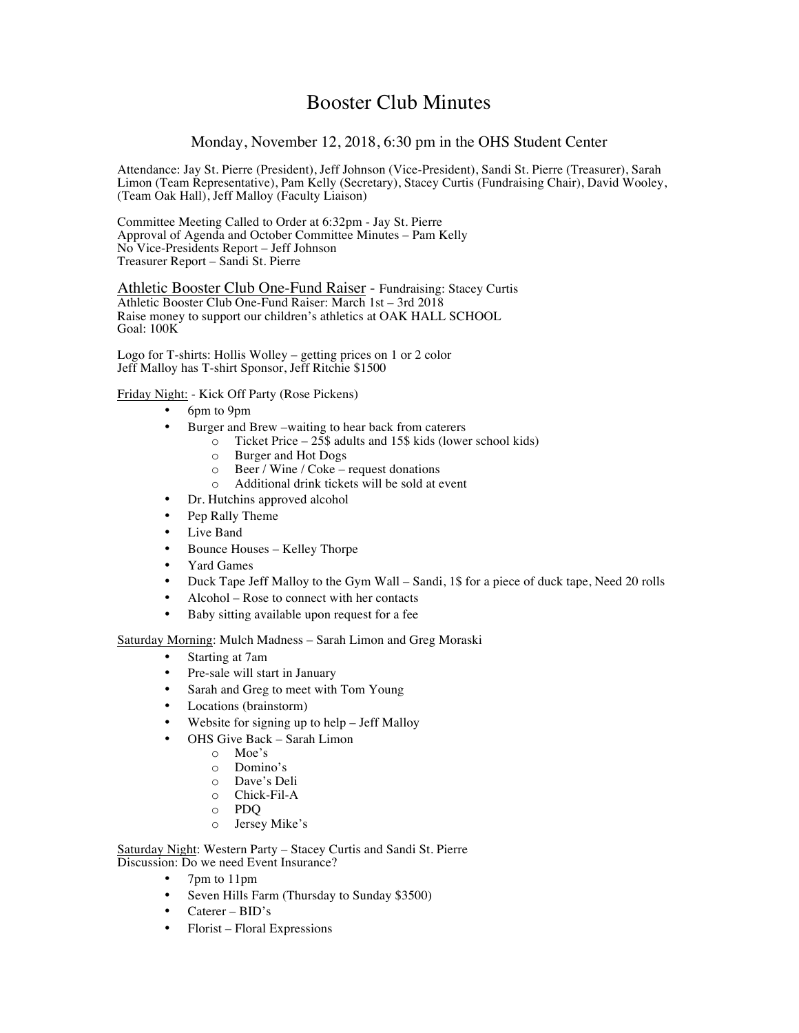# Booster Club Minutes

## Monday, November 12, 2018, 6:30 pm in the OHS Student Center

Attendance: Jay St. Pierre (President), Jeff Johnson (Vice-President), Sandi St. Pierre (Treasurer), Sarah Limon (Team Representative), Pam Kelly (Secretary), Stacey Curtis (Fundraising Chair), David Wooley, (Team Oak Hall), Jeff Malloy (Faculty Liaison)

Committee Meeting Called to Order at 6:32pm - Jay St. Pierre Approval of Agenda and October Committee Minutes – Pam Kelly No Vice-Presidents Report – Jeff Johnson Treasurer Report – Sandi St. Pierre

Athletic Booster Club One-Fund Raiser - Fundraising: Stacey Curtis Athletic Booster Club One-Fund Raiser: March 1st – 3rd 2018 Raise money to support our children's athletics at OAK HALL SCHOOL Goal: 100K

Logo for T-shirts: Hollis Wolley – getting prices on 1 or 2 color Jeff Malloy has T-shirt Sponsor, Jeff Ritchie \$1500

#### Friday Night: - Kick Off Party (Rose Pickens)

- 6pm to 9pm
- Burger and Brew –waiting to hear back from caterers
	- $\overline{\circ}$  Ticket Price 25\$ adults and 15\$ kids (lower school kids)
		- o Burger and Hot Dogs
		- o Beer / Wine / Coke request donations
		- o Additional drink tickets will be sold at event
- Dr. Hutchins approved alcohol
- Pep Rally Theme
- Live Band
- Bounce Houses Kelley Thorpe
- Yard Games
- Duck Tape Jeff Malloy to the Gym Wall Sandi, 1\$ for a piece of duck tape, Need 20 rolls
- Alcohol Rose to connect with her contacts
- Baby sitting available upon request for a fee

Saturday Morning: Mulch Madness – Sarah Limon and Greg Moraski

- Starting at 7am
- Pre-sale will start in January
- Sarah and Greg to meet with Tom Young
- Locations (brainstorm)
- Website for signing up to help Jeff Malloy
- OHS Give Back Sarah Limon
	- o Moe's
	- o Domino's
	- o Dave's Deli
	- o Chick-Fil-A
	- o PDQ
	- o Jersey Mike's

Saturday Night: Western Party – Stacey Curtis and Sandi St. Pierre Discussion: Do we need Event Insurance?

- 7pm to 11pm
- Seven Hills Farm (Thursday to Sunday \$3500)
- Caterer BID's
- Florist Floral Expressions